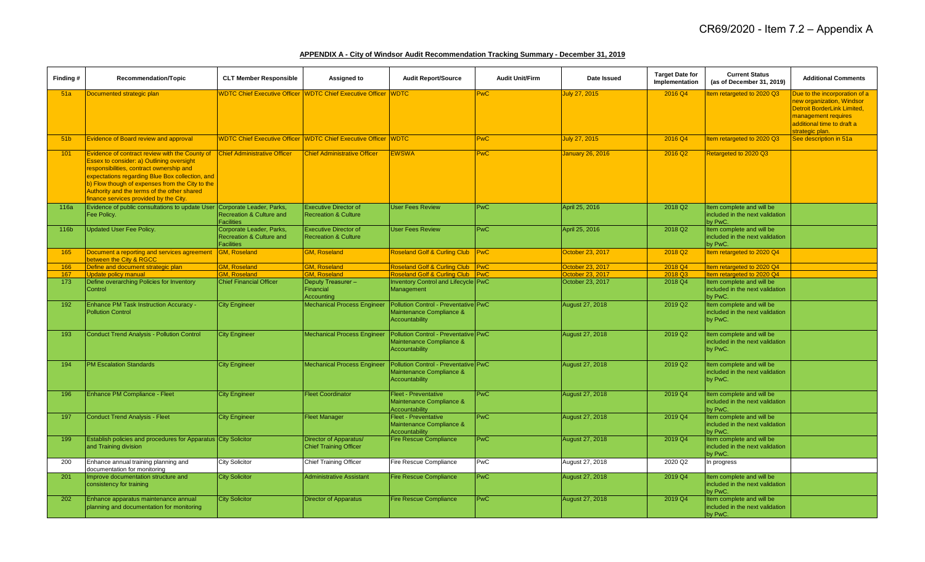## **APPENDIX A - City of Windsor Audit Recommendation Tracking Summary - December 31, 2019**

| Finding#        | Recommendation/Topic                                                                                                                                                                                                                                                                                                                          | <b>CLT Member Responsible</b>                                             | Assigned to                                                     | <b>Audit Report/Source</b>                                                                | <b>Audit Unit/Firm</b> | Date Issued            | <b>Target Date for</b><br>Implementation | <b>Current Status</b><br>(as of December 31, 2019)                      | <b>Additional Comments</b>                                                                                                                                        |
|-----------------|-----------------------------------------------------------------------------------------------------------------------------------------------------------------------------------------------------------------------------------------------------------------------------------------------------------------------------------------------|---------------------------------------------------------------------------|-----------------------------------------------------------------|-------------------------------------------------------------------------------------------|------------------------|------------------------|------------------------------------------|-------------------------------------------------------------------------|-------------------------------------------------------------------------------------------------------------------------------------------------------------------|
| 51a             | Documented strategic plan                                                                                                                                                                                                                                                                                                                     | <b>WDTC Chief Executive Officer</b>                                       | WDTC Chief Executive Officer WDTC                               |                                                                                           | <b>PwC</b>             | July 27, 2015          | 2016 Q4                                  | tem retargeted to 2020 Q3                                               | Due to the incorporation of a<br>new organization, Windsor<br>Detroit BorderLink Limited,<br>management requires<br>additional time to draft a<br>strategic plan. |
| 51 <sub>b</sub> | <b>Evidence of Board review and approval</b>                                                                                                                                                                                                                                                                                                  |                                                                           | WDTC Chief Executive Officer WDTC Chief Executive Officer WDTC  |                                                                                           | PwC                    | July 27, 2015          | 2016 Q4                                  | Item retargeted to 2020 Q3                                              | See description in 51a                                                                                                                                            |
| 101             | Evidence of contract review with the County of<br><b>Essex to consider: a) Outlining oversight</b><br>responsibilities, contract ownership and<br>expectations regarding Blue Box collection, and<br>b) Flow though of expenses from the City to the<br>Authority and the terms of the other shared<br>finance services provided by the City. | <b>Chief Administrative Officer</b>                                       | <b>Chief Administrative Officer</b>                             | <b>EWSWA</b>                                                                              | <b>PwC</b>             | January 26, 2016       | 2016 Q2                                  | Retargeted to 2020 Q3                                                   |                                                                                                                                                                   |
| 116a            | Evidence of public consultations to update User Corporate Leader, Parks,<br>Fee Policy.                                                                                                                                                                                                                                                       | Recreation & Culture and<br><b>Facilities</b>                             | <b>Executive Director of</b><br><b>Recreation &amp; Culture</b> | User Fees Review                                                                          | PwC                    | April 25, 2016         | 2018 Q2                                  | Item complete and will be<br>included in the next validation<br>by PwC. |                                                                                                                                                                   |
| 116b            | <b>Updated User Fee Policy.</b>                                                                                                                                                                                                                                                                                                               | Corporate Leader, Parks,<br>Recreation & Culture and<br><b>Facilities</b> | <b>Executive Director of</b><br><b>Recreation &amp; Culture</b> | <b>User Fees Review</b>                                                                   | <b>PwC</b>             | April 25, 2016         | 2018 Q <sub>2</sub>                      | Item complete and will be<br>included in the next validation<br>by PwC. |                                                                                                                                                                   |
| 165             | Document a reporting and services agreement<br>between the City & RGCC                                                                                                                                                                                                                                                                        | <b>GM, Roseland</b>                                                       | <b>GM, Roseland</b>                                             | Roseland Golf & Curling Club PwC                                                          |                        | October 23, 2017       | 2018 Q <sub>2</sub>                      | Item retargeted to 2020 Q4                                              |                                                                                                                                                                   |
| 166             | Define and document strategic plan                                                                                                                                                                                                                                                                                                            | <b>SM. Roseland</b>                                                       | <b>GM, Roseland</b>                                             | Roseland Golf & Curling Club PwC                                                          |                        | October 23, 2017       | 2018 Q4                                  | tem retargeted to 2020 Q4                                               |                                                                                                                                                                   |
| 167             | <b>Update policy manual</b>                                                                                                                                                                                                                                                                                                                   | <b>GM. Roseland</b>                                                       | <b>GM. Roseland</b>                                             | Roseland Golf & Curling Club PwC                                                          |                        | October 23, 2017       | 2018 Q3                                  | Item retargeted to 2020 Q4                                              |                                                                                                                                                                   |
| 173             | Define overarching Policies for Inventory<br>Control                                                                                                                                                                                                                                                                                          | <b>Chief Financial Officer</b>                                            | Deputy Treasurer-<br>Financial<br>Accounting                    | <b>Inventory Control and Lifecycle PwC</b><br>Management                                  |                        | October 23, 2017       | 2018 Q4                                  | Item complete and will be<br>included in the next validation<br>by PwC. |                                                                                                                                                                   |
| 192             | <b>Enhance PM Task Instruction Accuracy -</b><br><b>Pollution Control</b>                                                                                                                                                                                                                                                                     | <b>City Engineer</b>                                                      | <b>Mechanical Process Engineer</b>                              | Pollution Control - Preventative PwC<br>Maintenance Compliance &<br><b>Accountability</b> |                        | <b>August 27, 2018</b> | 2019 Q2                                  | Item complete and will be<br>included in the next validation<br>by PwC. |                                                                                                                                                                   |
| 193             | <b>Conduct Trend Analysis - Pollution Control</b>                                                                                                                                                                                                                                                                                             | <b>City Engineer</b>                                                      | <b>Mechanical Process Engineer</b>                              | Pollution Control - Preventative PwC<br>Maintenance Compliance &<br><b>Accountability</b> |                        | <b>August 27, 2018</b> | 2019 Q2                                  | Item complete and will be<br>included in the next validation<br>by PwC. |                                                                                                                                                                   |
| 194             | <b>PM Escalation Standards</b>                                                                                                                                                                                                                                                                                                                | <b>City Engineer</b>                                                      | <b>Mechanical Process Engineer</b>                              | Pollution Control - Preventative PwC<br>Maintenance Compliance &<br><b>Accountability</b> |                        | <b>August 27, 2018</b> | 2019 Q2                                  | Item complete and will be<br>included in the next validation<br>by PwC. |                                                                                                                                                                   |
| 196             | Enhance PM Compliance - Fleet                                                                                                                                                                                                                                                                                                                 | <b>City Engineer</b>                                                      | <b>Fleet Coordinator</b>                                        | Fleet - Preventative<br>Maintenance Compliance &<br>Accountability                        | PWC                    | <b>August 27, 2018</b> | 2019 Q4                                  | Item complete and will be<br>included in the next validation<br>by PwC. |                                                                                                                                                                   |
| 197             | <b>Conduct Trend Analysis - Fleet</b>                                                                                                                                                                                                                                                                                                         | <b>City Engineer</b>                                                      | <b>Fleet Manager</b>                                            | Fleet - Preventative<br>Maintenance Compliance &<br><b>Accountability</b>                 | <b>PwC</b>             | August 27, 2018        | 2019 Q4                                  | Item complete and will be<br>included in the next validation<br>by PwC. |                                                                                                                                                                   |
| 199             | Establish policies and procedures for Apparatus City Solicitor<br>and Training division                                                                                                                                                                                                                                                       |                                                                           | Director of Apparatus/<br><b>Chief Training Officer</b>         | <b>Fire Rescue Compliance</b>                                                             | PwC                    | August 27, 2018        | 2019 Q4                                  | Item complete and will be<br>included in the next validation<br>by PwC. |                                                                                                                                                                   |
| 200             | Enhance annual training planning and<br>documentation for monitoring                                                                                                                                                                                                                                                                          | <b>City Solicitor</b>                                                     | <b>Chief Training Officer</b>                                   | Fire Rescue Compliance                                                                    | PwC                    | August 27, 2018        | 2020 Q2                                  | In progress                                                             |                                                                                                                                                                   |
| 201             | Improve documentation structure and<br>consistency for training                                                                                                                                                                                                                                                                               | <b>City Solicitor</b>                                                     | <b>Administrative Assistant</b>                                 | <b>Fire Rescue Compliance</b>                                                             | <b>PwC</b>             | August 27, 2018        | 2019 Q4                                  | Item complete and will be<br>included in the next validation<br>by PwC. |                                                                                                                                                                   |
| 202             | Enhance apparatus maintenance annual<br>planning and documentation for monitoring                                                                                                                                                                                                                                                             | <b>City Solicitor</b>                                                     | <b>Director of Apparatus</b>                                    | <b>Fire Rescue Compliance</b>                                                             | <b>PwC</b>             | August 27, 2018        | 2019 Q4                                  | Item complete and will be<br>included in the next validation<br>by PwC. |                                                                                                                                                                   |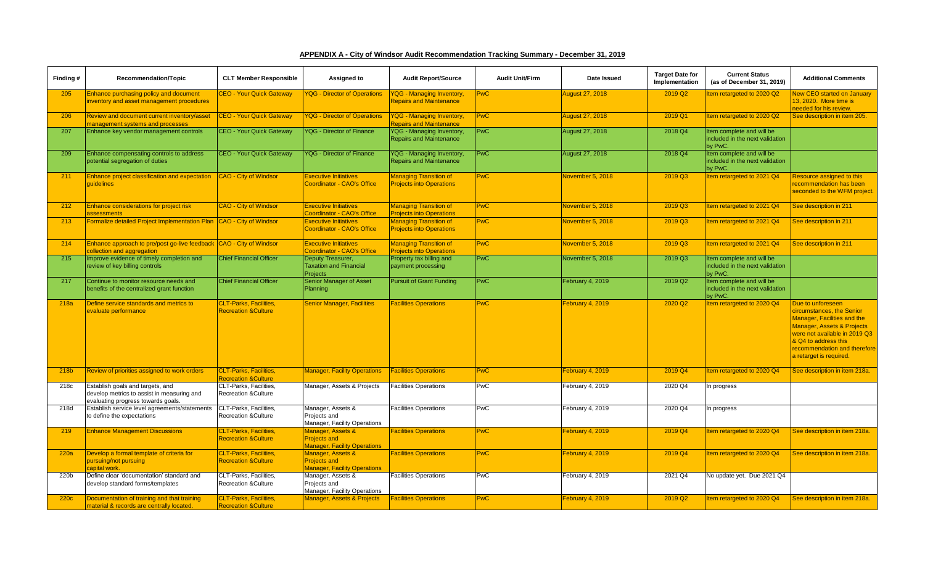| APPENDIX A - City of Windsor Audit Recommendation Tracking Summary - December 31, 2019 |
|----------------------------------------------------------------------------------------|
|----------------------------------------------------------------------------------------|

| Finding # | Recommendation/Topic                                                                                                 | <b>CLT Member Responsible</b>                                    | Assigned to                                                                     | <b>Audit Report/Source</b>                                         | <b>Audit Unit/Firm</b> | Date Issued            | <b>Target Date for</b><br>Implementation | <b>Current Status</b><br>(as of December 31, 2019)                      | <b>Additional Comments</b>                                                                                                                                                                                                      |
|-----------|----------------------------------------------------------------------------------------------------------------------|------------------------------------------------------------------|---------------------------------------------------------------------------------|--------------------------------------------------------------------|------------------------|------------------------|------------------------------------------|-------------------------------------------------------------------------|---------------------------------------------------------------------------------------------------------------------------------------------------------------------------------------------------------------------------------|
| 205       | Enhance purchasing policy and document                                                                               | <b>CEO - Your Quick Gateway</b>                                  | <b>YQG - Director of Operations</b>                                             | <b>YQG - Managing Inventory,</b>                                   | <b>PwC</b>             | August 27, 2018        | 2019 Q2                                  | tem retargeted to 2020 Q2                                               | <b>New CEO started on January</b>                                                                                                                                                                                               |
|           | nventory and asset management procedures                                                                             |                                                                  |                                                                                 | <b>Repairs and Maintenance</b>                                     |                        |                        |                                          |                                                                         | 13, 2020. More time is<br>needed for his review.                                                                                                                                                                                |
| 206       | Review and document current inventory/asset                                                                          | <b>CEO - Your Quick Gateway</b>                                  | <b>YQG - Director of Operations</b>                                             | <b>YQG - Managing Inventory,</b>                                   | <b>PwC</b>             | <b>August 27, 2018</b> | 2019 Q1                                  | tem retargeted to 2020 Q2                                               | See description in item 205.                                                                                                                                                                                                    |
|           | management systems and processes                                                                                     |                                                                  |                                                                                 | <b>Repairs and Maintenance</b>                                     |                        |                        |                                          |                                                                         |                                                                                                                                                                                                                                 |
| 207       | Enhance key vendor management controls                                                                               | <b>CEO - Your Quick Gateway</b>                                  | YQG - Director of Finance                                                       | <b>YQG - Managing Inventory,</b><br><b>Repairs and Maintenance</b> | PwC                    | August 27, 2018        | 2018 Q4                                  | tem complete and will be<br>included in the next validation<br>by PwC.  |                                                                                                                                                                                                                                 |
| 209       | Enhance compensating controls to address<br>potential segregation of duties                                          | <b>CEO - Your Quick Gateway</b>                                  | <b>YQG - Director of Finance</b>                                                | YQG - Managing Inventory,<br><b>Repairs and Maintenance</b>        | PwC                    | August 27, 2018        | 2018 Q4                                  | tem complete and will be<br>included in the next validation<br>by PwC.  |                                                                                                                                                                                                                                 |
| 211       | Enhance project classification and expectation<br>quidelines                                                         | <b>CAO - City of Windsor</b>                                     | <b>Executive Initiatives</b><br>Coordinator - CAO's Office                      | <b>Managing Transition of</b><br><b>Projects into Operations</b>   | <b>PwC</b>             | November 5, 2018       | 2019 Q3                                  | tem retargeted to 2021 Q4                                               | Resource assigned to this<br>ecommendation has been<br>seconded to the WFM project.                                                                                                                                             |
| 212       | Enhance considerations for project risk<br>assessments                                                               | <b>CAO - City of Windsor</b>                                     | <b>Executive Initiatives</b><br>Coordinator - CAO's Office                      | <b>Managing Transition of</b><br><b>Projects into Operations</b>   | <b>PwC</b>             | Vovember 5, 2018       | 2019 Q3                                  | tem retargeted to 2021 Q4                                               | See description in 211                                                                                                                                                                                                          |
| 213       | Formalize detailed Project Implementation Plan                                                                       | <b>CAO - City of Windsor</b>                                     | <b>Executive Initiatives</b><br><b>Coordinator - CAO's Office</b>               | <b>Managing Transition of</b><br><b>Projects into Operations</b>   | <b>PwC</b>             | Vovember 5, 2018       | 2019 Q3                                  | tem retargeted to 2021 Q4                                               | See description in 211                                                                                                                                                                                                          |
| 214       | Enhance approach to pre/post go-live feedback CAO - City of Windsor<br>collection and aggregation                    |                                                                  | <b>Executive Initiatives</b><br>Coordinator - CAO's Office                      | <b>Managing Transition of</b><br><b>Projects into Operations</b>   | <b>PwC</b>             | November 5, 2018       | 2019 Q3                                  | tem retargeted to 2021 Q4                                               | See description in 211                                                                                                                                                                                                          |
| 215       | Improve evidence of timely completion and<br>review of key billing controls                                          | <b>Chief Financial Officer</b>                                   | Deputy Treasurer,<br><b>Taxation and Financial</b><br><b>Projects</b>           | Property tax billing and<br>payment processing                     | <b>PwC</b>             | November 5, 2018       | 2019 Q3                                  | tem complete and will be<br>included in the next validation<br>by PwC.  |                                                                                                                                                                                                                                 |
| 217       | Continue to monitor resource needs and<br>benefits of the centralized grant function                                 | <b>Chief Financial Officer</b>                                   | Senior Manager of Asset<br>Planning                                             | <b>Pursuit of Grant Funding</b>                                    | PwC                    | February 4, 2019       | 2019 Q2                                  | Item complete and will be<br>included in the next validation<br>by PwC. |                                                                                                                                                                                                                                 |
| 218a      | Define service standards and metrics to<br>evaluate performance                                                      | <b>CLT-Parks, Facilities,</b><br><b>Recreation &amp; Culture</b> | <b>Senior Manager, Facilities</b>                                               | <b>Facilities Operations</b>                                       | <b>PwC</b>             | February 4, 2019       | 2020 Q <sub>2</sub>                      | tem retargeted to 2020 Q4                                               | Due to unforeseen<br>circumstances, the Senior<br>Manager, Facilities and the<br>Manager, Assets & Projects<br>were not available in 2019 Q3<br>& Q4 to address this<br>recommendation and therefore<br>a retarget is required. |
| 218b      | Review of priorities assigned to work orders                                                                         | <b>CLT-Parks, Facilities.</b><br><b>Recreation &amp; Culture</b> | <b>Manager, Facility Operations</b>                                             | <b>Facilities Operations</b>                                       | <b>PwC</b>             | February 4, 2019       | 2019 Q4                                  | tem retargeted to 2020 Q4                                               | See description in item 218a.                                                                                                                                                                                                   |
| 218c      | Establish goals and targets, and<br>develop metrics to assist in measuring and<br>evaluating progress towards goals. | CLT-Parks, Facilities,<br><b>Recreation &amp;Culture</b>         | Manager, Assets & Projects                                                      | <b>Facilities Operations</b>                                       | PwC                    | February 4, 2019       | 2020 Q4                                  | In progress                                                             |                                                                                                                                                                                                                                 |
| 218d      | Establish service level agreements/statements<br>to define the expectations                                          | CLT-Parks, Facilities,<br>Recreation & Culture                   | Manager, Assets &<br>Projects and<br>Manager, Facility Operations               | <b>Facilities Operations</b>                                       | <b>PwC</b>             | February 4, 2019       | 2020 Q4                                  | In progress                                                             |                                                                                                                                                                                                                                 |
| 219       | <b>Enhance Management Discussions</b>                                                                                | <b>CLT-Parks, Facilities,</b><br><b>Recreation &amp; Culture</b> | Manager, Assets &<br><b>Projects and</b><br><b>Manager, Facility Operations</b> | <b>Facilities Operations</b>                                       | <b>PwC</b>             | February 4, 2019       | 2019 Q4                                  | tem retargeted to 2020 Q4                                               | See description in item 218a.                                                                                                                                                                                                   |
| 220a      | Develop a formal template of criteria for<br>pursuing/not pursuing<br>capital work.                                  | <b>CLT-Parks, Facilities,</b><br><b>Recreation &amp; Culture</b> | Manager, Assets &<br><b>Projects and</b><br><b>Manager, Facility Operations</b> | <b>Facilities Operations</b>                                       | <b>PwC</b>             | February 4, 2019       | 2019 Q4                                  | tem retargeted to 2020 Q4                                               | See description in item 218a.                                                                                                                                                                                                   |
| 220b      | Define clear 'documentation' standard and<br>develop standard forms/templates                                        | CLT-Parks, Facilities,<br><b>Recreation &amp; Culture</b>        | Manager, Assets &<br>Projects and<br>Manager, Facility Operations               | <b>Facilities Operations</b>                                       | PwC                    | February 4, 2019       | 2021 Q4                                  | No update yet. Due 2021 Q4                                              |                                                                                                                                                                                                                                 |
| 220c      | Documentation of training and that training<br>material & records are centrally located.                             | <b>CLT-Parks, Facilities,</b><br><b>Recreation &amp; Culture</b> | <b>Manager, Assets &amp; Projects</b>                                           | <b>Facilities Operations</b>                                       | <b>PwC</b>             | February 4, 2019       | 2019 Q2                                  | tem retargeted to 2020 Q4                                               | See description in item 218a.                                                                                                                                                                                                   |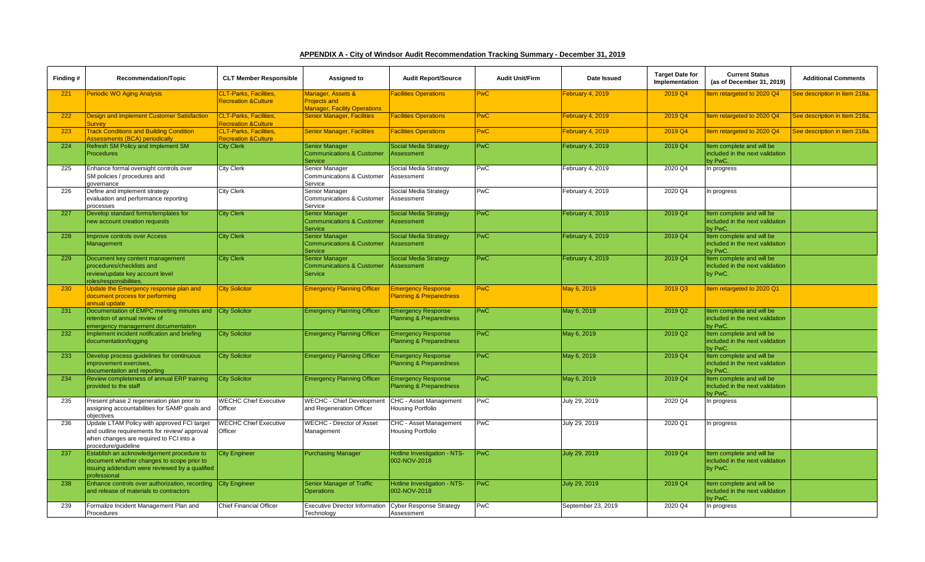| APPENDIX A - City of Windsor Audit Recommendation Tracking Summary - December 31, 2019 |  |
|----------------------------------------------------------------------------------------|--|
|----------------------------------------------------------------------------------------|--|

| Finding # | Recommendation/Topic                                                      | <b>CLT Member Responsible</b>                                    | Assigned to                                                   | <b>Audit Report/Source</b>                                      | <b>Audit Unit/Firm</b> | Date Issued        | <b>Target Date for</b><br>Implementation | <b>Current Status</b><br>(as of December 31, 2019)           | <b>Additional Comments</b>    |
|-----------|---------------------------------------------------------------------------|------------------------------------------------------------------|---------------------------------------------------------------|-----------------------------------------------------------------|------------------------|--------------------|------------------------------------------|--------------------------------------------------------------|-------------------------------|
| 221       | <b>Periodic WO Aging Analysis</b>                                         | <b>CLT-Parks, Facilities,</b>                                    | Manager, Assets &                                             | <b>Facilities Operations</b>                                    | <b>PwC</b>             | February 4, 2019   | 2019 Q4                                  | tem retargeted to 2020 Q4                                    | See description in item 218a. |
|           |                                                                           | <b>Recreation &amp; Culture</b>                                  | <b>Projects and</b><br><b>Manager, Facility Operations</b>    |                                                                 |                        |                    |                                          |                                                              |                               |
| 222       | <b>Design and implement Customer Satisfaction</b>                         | <b>CLT-Parks, Facilities.</b>                                    | <b>Senior Manager, Facilities</b>                             | <b>Facilities Operations</b>                                    | <b>PwC</b>             | February 4, 2019   | 2019 Q4                                  | tem retargeted to 2020 Q4                                    | See description in item 218a. |
| 223       | <b>Survey</b><br><b>Track Conditions and Building Condition</b>           | <b>Recreation &amp; Culture</b><br><b>CLT-Parks. Facilities.</b> | <b>Senior Manager, Facilities</b>                             | <b>Facilities Operations</b>                                    | <b>PwC</b>             | February 4, 2019   | 2019 Q4                                  | tem retargeted to 2020 Q4                                    | See description in item 218a. |
|           | <b>Assessments (BCA) periodically</b>                                     | <b>Recreation &amp; Culture</b>                                  |                                                               |                                                                 |                        |                    |                                          |                                                              |                               |
| 224       | Refresh SM Policy and Implement SM                                        | <b>City Clerk</b>                                                | Senior Manager                                                | <b>Social Media Strategy</b>                                    | <b>PwC</b>             | February 4, 2019   | 2019 Q4                                  | tem complete and will be                                     |                               |
|           | <b>Procedures</b>                                                         |                                                                  | <b>Communications &amp; Customer</b><br>Service               | Assessment                                                      |                        |                    |                                          | included in the next validation<br>by PwC.                   |                               |
| 225       | Enhance formal oversight controls over                                    | <b>City Clerk</b>                                                | Senior Manager                                                | Social Media Strategy                                           | PwC                    | February 4, 2019   | 2020 Q4                                  | In progress                                                  |                               |
|           | SM policies / procedures and                                              |                                                                  | Communications & Customer                                     | Assessment                                                      |                        |                    |                                          |                                                              |                               |
| 226       | governance                                                                |                                                                  | Service                                                       |                                                                 | PwC                    |                    | 2020 Q4                                  |                                                              |                               |
|           | Define and implement strategy<br>evaluation and performance reporting     | <b>City Clerk</b>                                                | Senior Manager<br>Communications & Customer                   | Social Media Strategy<br>Assessment                             |                        | February 4, 2019   |                                          | In progress                                                  |                               |
|           | processes                                                                 |                                                                  | Service                                                       |                                                                 |                        |                    |                                          |                                                              |                               |
| 227       | Develop standard forms/templates for                                      | <b>City Clerk</b>                                                | Senior Manager                                                | <b>Social Media Strategy</b>                                    | <b>PwC</b>             | February 4, 2019   | 2019 Q4                                  | Item complete and will be                                    |                               |
|           | new account creation requests                                             |                                                                  | <b>Communications &amp; Customer</b><br><b>Service</b>        | Assessment                                                      |                        |                    |                                          | included in the next validation<br>by PwC.                   |                               |
| 228       | <b>Improve controls over Access</b>                                       | <b>City Clerk</b>                                                | <b>Senior Manager</b>                                         | <b>Social Media Strategy</b>                                    | PwC                    | February 4, 2019   | 2019 Q4                                  | Item complete and will be                                    |                               |
|           | Management                                                                |                                                                  | Communications & Customer                                     | Assessment                                                      |                        |                    |                                          | included in the next validation                              |                               |
|           |                                                                           |                                                                  | Service                                                       |                                                                 |                        |                    |                                          | by PwC.                                                      |                               |
| 229       | Document key content management<br>procedures/checklists and              | <b>City Clerk</b>                                                | <b>Senior Manager</b><br><b>Communications &amp; Customer</b> | <b>Social Media Strategy</b><br>Assessment                      | PwC                    | February 4, 2019   | 2019 Q4                                  | Item complete and will be<br>included in the next validation |                               |
|           | review/update key account level                                           |                                                                  | <b>Service</b>                                                |                                                                 |                        |                    |                                          | by PwC.                                                      |                               |
|           | roles/responsibilities.                                                   |                                                                  |                                                               |                                                                 |                        |                    |                                          |                                                              |                               |
| 230       | Update the Emergency response plan and                                    | <b>City Solicitor</b>                                            | <b>Emergency Planning Officer</b>                             | <b>Emergency Response</b>                                       | <b>PwC</b>             | May 6, 2019        | 2019 Q3                                  | tem retargeted to 2020 Q1                                    |                               |
|           | document process for performing<br>annual update                          |                                                                  |                                                               | <b>Planning &amp; Preparedness</b>                              |                        |                    |                                          |                                                              |                               |
| 231       | Documentation of EMPC meeting minutes and City Solicitor                  |                                                                  | <b>Emergency Planning Officer</b>                             | <b>Emergency Response</b>                                       | <b>PwC</b>             | May 6, 2019        | 2019 Q2                                  | tem complete and will be                                     |                               |
|           | retention of annual review of                                             |                                                                  |                                                               | <b>Planning &amp; Preparedness</b>                              |                        |                    |                                          | included in the next validation                              |                               |
|           | emergency management documentation                                        |                                                                  |                                                               |                                                                 |                        |                    |                                          | by PwC.                                                      |                               |
| 232       | Implement incident notification and briefing<br>documentation/logging     | <b>City Solicitor</b>                                            | <b>Emergency Planning Officer</b>                             | <b>Emergency Response</b><br><b>Planning &amp; Preparedness</b> | <b>PwC</b>             | May 6, 2019        | 2019 Q2                                  | tem complete and will be<br>included in the next validation  |                               |
|           |                                                                           |                                                                  |                                                               |                                                                 |                        |                    |                                          | by PwC.                                                      |                               |
| 233       | Develop process quidelines for continuous                                 | <b>City Solicitor</b>                                            | <b>Emergency Planning Officer</b>                             | <b>Emergency Response</b>                                       | PwC                    | May 6, 2019        | 2019 Q4                                  | Item complete and will be                                    |                               |
|           | improvement exercises.                                                    |                                                                  |                                                               | <b>Planning &amp; Preparedness</b>                              |                        |                    |                                          | included in the next validation                              |                               |
| 234       | documentation and reporting<br>Review completeness of annual ERP training | <b>City Solicitor</b>                                            | <b>Emergency Planning Officer</b>                             | <b>Emergency Response</b>                                       | <b>PwC</b>             | May 6, 2019        | 2019 Q4                                  | by PwC.<br>Item complete and will be                         |                               |
|           | provided to the staff                                                     |                                                                  |                                                               | <b>Planning &amp; Preparedness</b>                              |                        |                    |                                          | included in the next validation                              |                               |
|           |                                                                           |                                                                  |                                                               |                                                                 |                        |                    |                                          | by PwC.                                                      |                               |
| 235       | Present phase 2 regeneration plan prior to                                | <b>WECHC Chief Executive</b>                                     | WECHC - Chief Developmen                                      | CHC - Asset Management                                          | PwC                    | July 29, 2019      | 2020 Q4                                  | In progress                                                  |                               |
|           | assigning accountabilities for SAMP goals and<br>objectives               | Officer                                                          | and Regeneration Officer                                      | Housing Portfolio                                               |                        |                    |                                          |                                                              |                               |
| 236       | Update LTAM Policy with approved FCI target                               | <b>WECHC Chief Executive</b>                                     | <b>WECHC - Director of Asset</b>                              | CHC - Asset Management                                          | <b>PwC</b>             | July 29, 2019      | 2020 Q1                                  | In progress                                                  |                               |
|           | and outline requirements for review/ approval                             | Officer                                                          | Management                                                    | Housing Portfolio                                               |                        |                    |                                          |                                                              |                               |
|           | when changes are required to FCI into a                                   |                                                                  |                                                               |                                                                 |                        |                    |                                          |                                                              |                               |
| 237       | procedure/quideline<br>Establish an acknowledgement procedure to          | <b>City Engineer</b>                                             | <b>Purchasing Manager</b>                                     | Hotline Investigation - NTS-                                    | PwC                    | July 29, 2019      | 2019 Q4                                  | tem complete and will be                                     |                               |
|           | document whether changes to scope prior to                                |                                                                  |                                                               | 002-NOV-2018                                                    |                        |                    |                                          | included in the next validation                              |                               |
|           | issuing addendum were reviewed by a qualified                             |                                                                  |                                                               |                                                                 |                        |                    |                                          | by PwC.                                                      |                               |
| 238       | professional<br>Enhance controls over authorization, recording            | <b>City Engineer</b>                                             | <b>Senior Manager of Traffic</b>                              | Hotline Investigation - NTS-                                    | <b>PwC</b>             | July 29, 2019      | 2019 Q4                                  | tem complete and will be                                     |                               |
|           | and release of materials to contractors                                   |                                                                  | <b>Operations</b>                                             | 002-NOV-2018                                                    |                        |                    |                                          | included in the next validation                              |                               |
|           |                                                                           |                                                                  |                                                               |                                                                 |                        |                    |                                          | by PwC.                                                      |                               |
| 239       | Formalize Incident Management Plan and                                    | <b>Chief Financial Officer</b>                                   | <b>Executive Director Information</b>                         | <b>Cyber Response Strategy</b>                                  | PwC                    | September 23, 2019 | 2020 Q4                                  | In progress                                                  |                               |
|           | Procedures                                                                |                                                                  | Technology                                                    | Assessment                                                      |                        |                    |                                          |                                                              |                               |